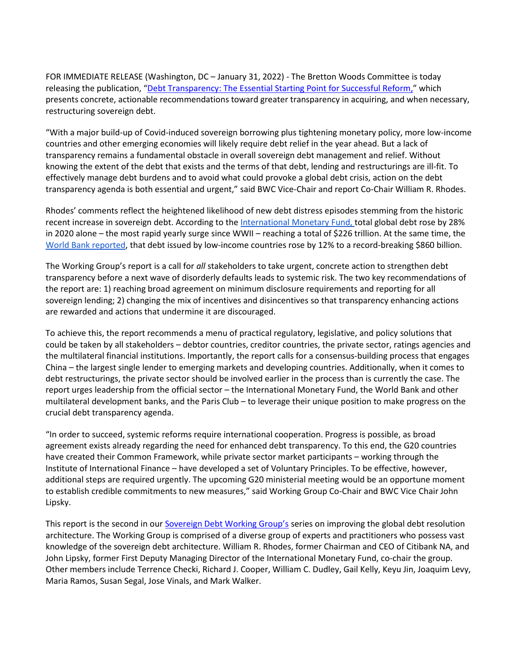FOR IMMEDIATE RELEASE (Washington, DC – January 31, 2022) - The Bretton Woods Committee is today releasing the publication, ["Debt Transparency: The Essential Starting Point for Successful Reform,"](http://www.brettonwoods.org/sites/default/files/documents/SDWG_Debt_Transparency_The_Essential_Starting_Point_for_Successful_Reform.pdf) which presents concrete, actionable recommendations toward greater transparency in acquiring, and when necessary, restructuring sovereign debt.

"With a major build-up of Covid-induced sovereign borrowing plus tightening monetary policy, more low-income countries and other emerging economies will likely require debt relief in the year ahead. But a lack of transparency remains a fundamental obstacle in overall sovereign debt management and relief. Without knowing the extent of the debt that exists and the terms of that debt, lending and restructurings are ill-fit. To effectively manage debt burdens and to avoid what could provoke a global debt crisis, action on the debt transparency agenda is both essential and urgent," said BWC Vice-Chair and report Co-Chair William R. Rhodes.

Rhodes' comments reflect the heightened likelihood of new debt distress episodes stemming from the historic recent increase in sovereign debt. According to the [International Monetary Fund,](https://blogs.imf.org/2021/12/15/global-debt-reaches-a-record-226-trillion/) total global debt rose by 28% in 2020 alone – the most rapid yearly surge since WWII – reaching a total of \$226 trillion. At the same time, the [World Bank reporte](https://www.worldbank.org/en/news/press-release/2021/10/11/low-income-country-debt-rises-to-record-860-billion-in-2020)d, that debt issued by low-income countries rose by 12% to a record-breaking \$860 billion.

The Working Group's report is a call for *all* stakeholders to take urgent, concrete action to strengthen debt transparency before a next wave of disorderly defaults leads to systemic risk. The two key recommendations of the report are: 1) reaching broad agreement on minimum disclosure requirements and reporting for all sovereign lending; 2) changing the mix of incentives and disincentives so that transparency enhancing actions are rewarded and actions that undermine it are discouraged.

To achieve this, the report recommends a menu of practical regulatory, legislative, and policy solutions that could be taken by all stakeholders – debtor countries, creditor countries, the private sector, ratings agencies and the multilateral financial institutions. Importantly, the report calls for a consensus-building process that engages China – the largest single lender to emerging markets and developing countries. Additionally, when it comes to debt restructurings, the private sector should be involved earlier in the process than is currently the case. The report urges leadership from the official sector – the International Monetary Fund, the World Bank and other multilateral development banks, and the Paris Club – to leverage their unique position to make progress on the crucial debt transparency agenda.

"In order to succeed, systemic reforms require international cooperation. Progress is possible, as broad agreement exists already regarding the need for enhanced debt transparency. To this end, the G20 countries have created their Common Framework, while private sector market participants – working through the Institute of International Finance – have developed a set of Voluntary Principles. To be effective, however, additional steps are required urgently. The upcoming G20 ministerial meeting would be an opportune moment to establish credible commitments to new measures," said Working Group Co-Chair and BWC Vice Chair John Lipsky.

This report is the second in our [Sovereign Debt Working Group's](https://www.brettonwoods.org/page/sovereign-debt-working-group) series on improving the global debt resolution architecture. The Working Group is comprised of a diverse group of experts and practitioners who possess vast knowledge of the sovereign debt architecture. William R. Rhodes, former Chairman and CEO of Citibank NA, and John Lipsky, former First Deputy Managing Director of the International Monetary Fund, co-chair the group. Other members include Terrence Checki, Richard J. Cooper, William C. Dudley, Gail Kelly, Keyu Jin, Joaquim Levy, Maria Ramos, Susan Segal, Jose Vinals, and Mark Walker.